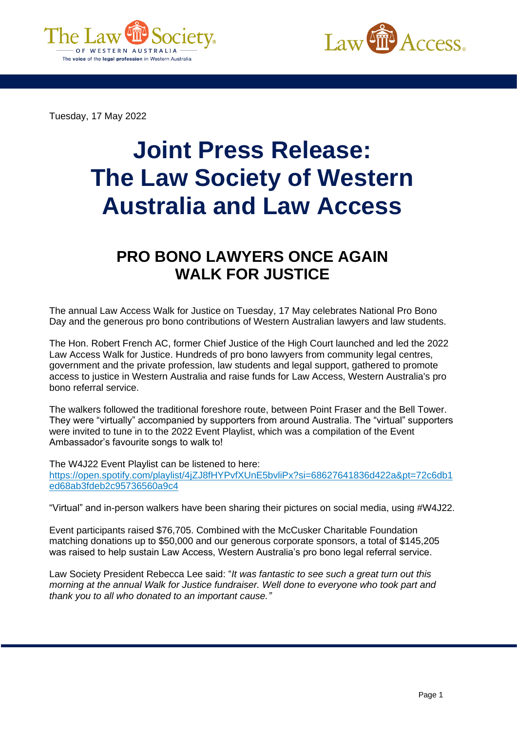



Tuesday, 17 May 2022

## **Joint Press Release: The Law Society of Western Australia and Law Access**

## **PRO BONO LAWYERS ONCE AGAIN WALK FOR JUSTICE**

The annual Law Access Walk for Justice on Tuesday, 17 May celebrates National Pro Bono Day and the generous pro bono contributions of Western Australian lawyers and law students.

The Hon. Robert French AC, former Chief Justice of the High Court launched and led the 2022 Law Access Walk for Justice. Hundreds of pro bono lawyers from community legal centres, government and the private profession, law students and legal support, gathered to promote access to justice in Western Australia and raise funds for Law Access, Western Australia's pro bono referral service.

The walkers followed the traditional foreshore route, between Point Fraser and the Bell Tower. They were "virtually" accompanied by supporters from around Australia. The "virtual" supporters were invited to tune in to the 2022 Event Playlist, which was a compilation of the Event Ambassador's favourite songs to walk to!

The W4J22 Event Playlist can be listened to here:

[https://open.spotify.com/playlist/4jZJ8fHYPvfXUnE5bvliPx?si=68627641836d422a&pt=72c6db1](https://open.spotify.com/playlist/4jZJ8fHYPvfXUnE5bvliPx?si=68627641836d422a&pt=72c6db1ed68ab3fdeb2c95736560a9c4) [ed68ab3fdeb2c95736560a9c4](https://open.spotify.com/playlist/4jZJ8fHYPvfXUnE5bvliPx?si=68627641836d422a&pt=72c6db1ed68ab3fdeb2c95736560a9c4)

"Virtual" and in-person walkers have been sharing their pictures on social media, using #W4J22.

Event participants raised \$76,705. Combined with the McCusker Charitable Foundation matching donations up to \$50,000 and our generous corporate sponsors, a total of \$145,205 was raised to help sustain Law Access, Western Australia's pro bono legal referral service.

Law Society President Rebecca Lee said: "*It was fantastic to see such a great turn out this morning at the annual Walk for Justice fundraiser. Well done to everyone who took part and thank you to all who donated to an important cause."*